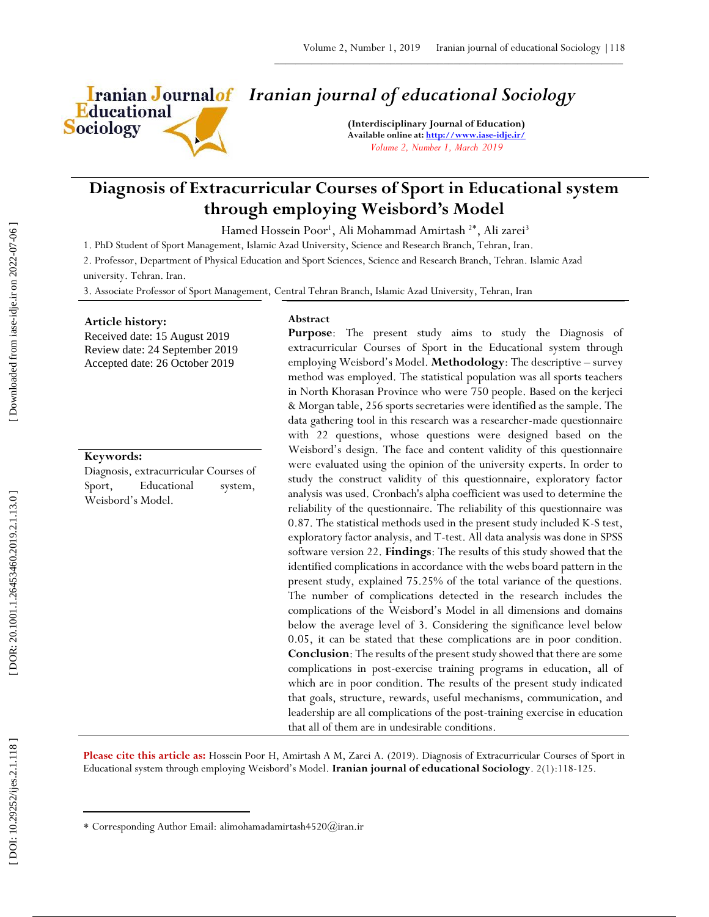

# *Iranian journal of educational Sociology*

**(Interdisciplinary Journal of Education) Available online at[: http://www.iase](http://www.iase-idje.ir/) -idje.ir/** *Volume 2, Number 1, March 2019*

# **Diagnosis of Extracurricular Courses of Sport in Educational system through employing Weisbord's Model**

Hamed Hossein Poor<sup>1</sup>, Ali Mohammad Amirtash<sup>2\*</sup>, Ali zarei<sup>3</sup>

1. PhD Student of Sport Management, Islamic Azad University, Science and Research Branch, Tehran, Iran.

2. Professor, Department of Physical Education and Sport Sciences, Science and Research Branch, Tehran. Islamic Azad university. Tehran. Iran.

3. Associate Professor of Sport Management, Central Tehran Branch, Islamic Azad University, Tehran, Iran

#### **Article history:**

Received date: 15 August 2019 Review date: 24 September 2019 Accepted date: 26 October 2019

### **Keywords:**

Diagnosis, extracurricular Courses of Sport, Educational system, Weisbord's Model.

#### **Abstract**

**Purpose**: The present study aims to study the Diagnosis of extracurricular Courses of Sport in the Educational system through employing Weisbord's Model. **Methodology**: The descriptive – survey method was employed. The statistical population was all sports teachers in North Khorasan Province who were 750 people. Based on the kerjeci & Morgan table, 256 sports secretaries were identified as the sample. The data gathering tool in this research was a researcher -made questionnaire with 22 questions, whose questions were designed based on the Weisbord's design. The face and content validity of this questionnaire were evaluated using the opinion of the university experts. In order to study the construct validity of this questionnaire, exploratory factor analysis was used. Cronbach's alpha coefficient was used to determine the reliability of the questionnaire. The reliability of this questionnaire was 0.87. The statistical methods used in the present study included K -S test, exploratory factor analysis, and T -test. All data analysis was done in SPSS software version 22. **Findings**: The results of this study showed that the identified complications in accordance with the webs board pattern in the present study, explained 75.25% of the total variance of the questions. The number of complications detected in the research includes the complications of the Weisbord's Model in all dimensions and domains below the average level of 3. Considering the significance level below 0.05, it can be stated that these complications are in poor condition. **Conclusion**: The results of the present study showed that there are some complications in post -exercise training programs in education, all of which are in poor condition. The results of the present study indicated that goals, structure, rewards, useful mechanisms, communication, and leadership are all complications of the post -training exercise in education that all of them are in undesirable conditions.

**Please cite this article as:** Hossein Poor H, Amirtash A M, Zarei A. (201 9). Diagnosis of Extracurricular Courses of Sport in Educational system through employing Weisbord's Model. **Iranian journal of educational Sociology**. 2 ( 1):118 -125.

 $\overline{\phantom{a}}$ 

Corresponding Author Email: alimohamadamirtash4520@iran.ir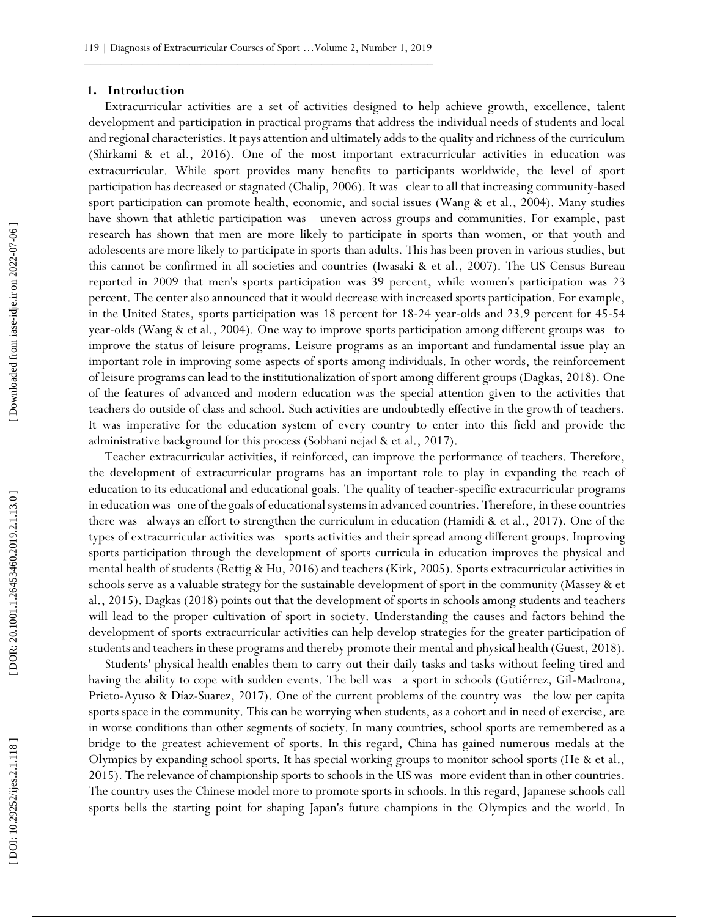#### **1. Introduction**

Extracurricular activities are a set of activities designed to help achieve growth, excellence, talent development and participation in practical programs that address the individual needs of students and local and regional characteristics. It pays attention and ultimately adds to the quality and richness of the curriculum (Shirkami & et al., 2016). One of the most important extracurricular activities in education was extracurricular. While sport provides many benefits to participants worldwide, the level of sport participation has decreased or stagnated (Chalip, 2006). It was clear to all that increasing community -based sport participation can promote health, economic, and social issues (Wang & et al., 2004). Many studies have shown that athletic participation was uneven across groups and communities. For example, past research has shown that men are more likely to participate in sports than women, or that youth and adolescents are more likely to participate in sports than adults. This has been proven in various studies, but this cannot be confirmed in all societies and countries (Iwasaki & et al., 2007). The US Census Bureau reported in 2009 that men's sports participation was 39 percent, while women's participation was 23 percent. The center also announced that it would decrease with increased sports participation. For example, in the United States, sports participation was 18 percent for 18 -24 year -olds and 23.9 percent for 45 -54 year -olds (Wang & et al., 2004). One way to improve sports participation among different groups was to improve the status of leisure programs. Leisure programs as an important and fundamental issue play an important role in improving some aspects of sports among individuals. In other words, the reinforcement of leisure programs can lead to the institutionalization of sport among different groups (Dagkas, 2018). One of the features of advanced and modern education was the special attention given to the activities that teachers do outside of class and school. Such activities are undoubtedly effective in the growth of teachers. It was imperative for the education system of every country to enter into this field and provide the administrative background for this process (Sobhani nejad & et al., 2017).

Teacher extracurricular activities, if reinforced, can improve the performance of teachers. Therefore, the development of extracurricular programs has an important role to play in expanding the reach of education to its educational and educational goals. The quality of teacher -specific extracurricular programs in education was one of the goals of educational systems in advanced countries. Therefore, in these countries there was always an effort to strengthen the curriculum in education (Hamidi & et al., 2017). One of the types of extracurricular activities was sports activities and their spread among different groups. Improving sports participation through the development of sports curricula in education improves the physical and mental health of students (Rettig & Hu, 2016) and teachers (Kirk, 2005). Sports extracurricular activities in schools serve as a valuable strategy for the sustainable development of sport in the community (Massey & et al., 2015). Dagkas (2018) points out that the development of sports in schools among students and teachers will lead to the proper cultivation of sport in society. Understanding the causes and factors behind the development of sports extracurricular activities can help develop strategies for the greater participation of students and teachers in these programs and thereby promote their mental and physical health (Guest, 2018).

Students' physical health enables them to carry out their daily tasks and tasks without feeling tired and having the ability to cope with sudden events. The bell was a sport in schools (Gutiérrez, Gil-Madrona, Prieto -Ayuso & Díaz -Suarez, 2017). One of the current problems of the country was the low per capita sports space in the community. This can be worrying when students, as a cohort and in need of exercise, are in worse conditions than other segments of society. In many countries, school sports are remembered as a bridge to the greatest achievement of sports. In this regard, China has gained numerous medals at the Olympics by expanding school sports. It has special working groups to monitor school sports (He & et al., 2015). The relevance of championship sports to schools in the US was more evident than in other countries. The country uses the Chinese model more to promote sports in schools. In this regard, Japanese schools call sports bells the starting point for shaping Japan's future champions in the Olympics and the world. In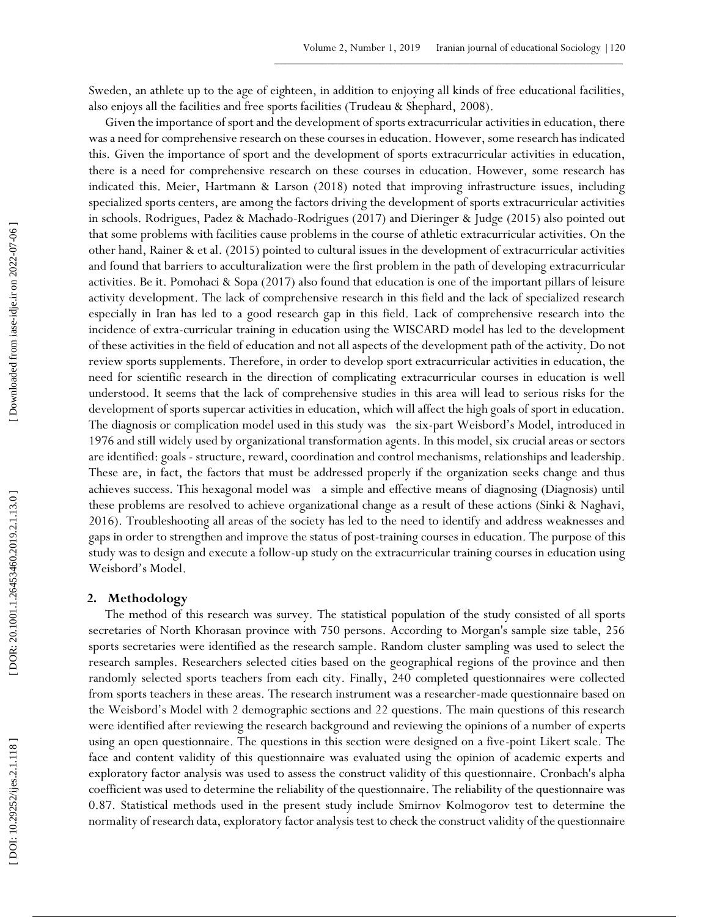Sweden, an athlete up to the age of eighteen, in addition to enjoying all kinds of free educational facilities, also enjoys all the facilities and free sports facilities (Trudeau & Shephard, 2008).

Given the importance of sport and the development of sports extracurricular activities in education, there was a need for comprehensive research on these courses in education. However, some research has indicated this. Given the importance of sport and the development of sports extracurricular activities in education, there is a need for comprehensive research on these courses in education. However, some research has indicated this. Meier, Hartmann & Larson (2018) noted that improving infrastructure issues, including specialized sports centers, are among the factors driving the development of sports extracurricular activities in schools. Rodrigues, Padez & Machado -Rodrigues (2017) and Dieringer & Judge (2015) also pointed out that some problems with facilities cause problems in the course of athletic extracurricular activities. On the other hand, Rainer & et al. (2015) pointed to cultural issues in the development of extracurricular activities and found that barriers to acculturalization were the first problem in the path of developing extracurricular activities. Be it. Pomohaci & Sopa (2017) also found that education is one of the important pillars of leisure activity development. The lack of comprehensive research in this field and the lack of specialized research especially in Iran has led to a good research gap in this field. Lack of comprehensive research into the incidence of extra -curricular training in education using the WISCARD model has led to the development of these activities in the field of education and not all aspects of the development path of the activity. Do not review sports supplements. Therefore, in order to develop sport extracurricular activities in education, the need for scientific research in the direction of complicating extracurricular courses in education is well understood. It seems that the lack of comprehensive studies in this area will lead to serious risks for the development of sports supercar activities in education, which will affect the high goals of sport in education. The diagnosis or complication model used in this study was the six -part Weisbord's Model, introduced in 1976 and still widely used by organizational transformation agents. In this model, six crucial areas or sectors are identified: goals - structure, reward, coordination and control mechanisms, relationships and leadership. These are, in fact, the factors that must be addressed properly if the organization seeks change and thus achieves success. This hexagonal model was a simple and effective means of diagnosing (Diagnosis) until these problems are resolved to achieve organizational change as a result of these actions (Sinki & Naghavi, 2016). Troubleshooting all areas of the society has led to the need to identify and address weaknesses and gaps in order to strengthen and improve the status of post -training courses in education. The purpose of this study was to design and execute a follow -up study on the extracurricular training courses in education using Weisbord's Model.

### **2. Methodology**

The method of this research was survey. The statistical population of the study consisted of all sports secretaries of North Khorasan province with 750 persons. According to Morgan's sample size table, 256 sports secretaries were identified as the research sample. Random cluster sampling was used to select the research samples. Researchers selected cities based on the geographical regions of the province and then randomly selected sports teachers from each city. Finally, 240 completed questionnaires were collected from sports teachers in these areas. The research instrument was a researcher -made questionnaire based on the Weisbord's Model with 2 demographic sections and 22 questions. The main questions of this research were identified after reviewing the research background and reviewing the opinions of a number of experts using an open questionnaire. The questions in this section were designed on a five -point Likert scale. The face and content validity of this questionnaire was evaluated using the opinion of academic experts and exploratory factor analysis was used to assess the construct validity of this questionnaire. Cronbach's alpha coefficient was used to determine the reliability of the questionnaire. The reliability of the questionnaire was 0.87. Statistical methods used in the present study include Smirnov Kolmogorov test to determine the normality of research data, exploratory factor analysis test to check the construct validity of the questionnaire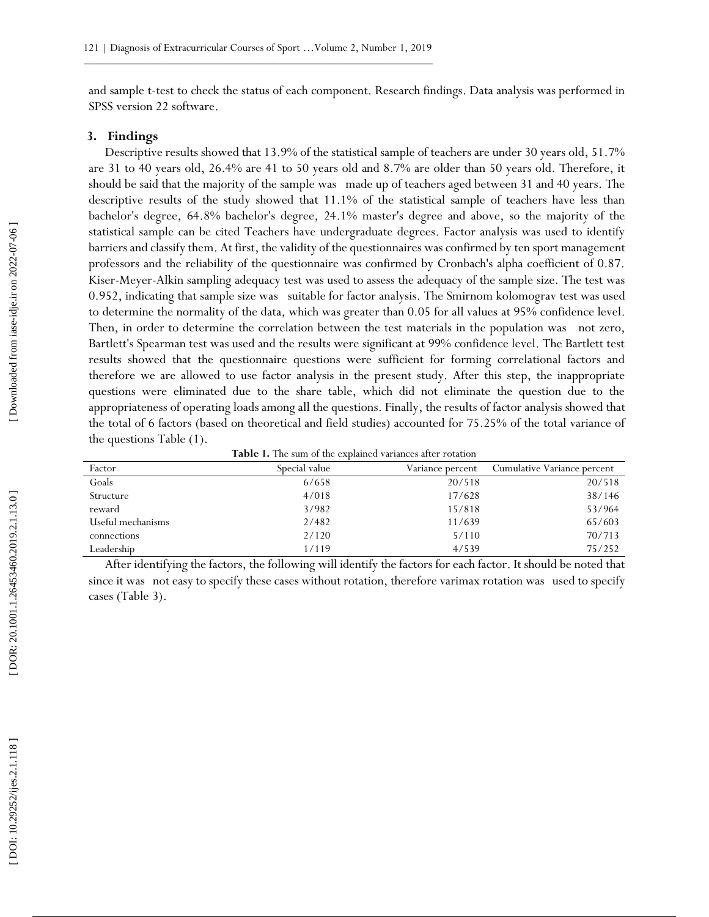and sample t -test to check the status of each component. Research findings. Data analysis was performed in SPSS version 22 software.

#### **3. Findings**

Descriptive results showed that 13.9% of the statistical sample of teachers are under 30 years old, 51.7% are 31 to 40 years old, 26.4% are 41 to 50 years old and 8.7% are older than 50 years old. Therefore, it should be said that the majority of the sample was made up of teachers aged between 31 and 40 years. The descriptive results of the study showed that 11.1% of the statistical sample of teachers have less than bachelor's degree, 64.8% bachelor's degree, 24.1% master's degree and above, so the majority of the statistical sample can be cited Teachers have undergraduate degrees. Factor analysis was used to identify barriers and classify them. At first, the validity of the questionnaires was confirmed by ten sport management professors and the reliability of the questionnaire was confirmed by Cronbach's alpha coefficient of 0.87. Kiser -Meyer -Alkin sampling adequacy test was used to assess the adequacy of the sample size. The test was 0.952, indicating that sample size was suitable for factor analysis. The Smirnom kolomograv test was used to determine the normality of the data, which was greater than 0.05 for all values at 95% confidence level. Then, in order to determine the correlation between the test materials in the population was not zero, Bartlett's Spearman test was used and the results were significant at 99% confidence level. The Bartlett test results showed that the questionnaire questions were sufficient for forming correlational factors and therefore we are allowed to use factor analysis in the present study. After this step, the inappropriate questions were eliminated due to the share table, which did not eliminate the question due to the appropriateness of operating loads among all the questions. Finally, the results of factor analysis showed that the total of 6 factors (based on theoretical and field studies) accounted for 75.25% of the total variance of the questions Table (1).

| Factor            | Special value | Variance percent | Cumulative Variance percent |
|-------------------|---------------|------------------|-----------------------------|
| Goals             | 6/658         | 20/518           | 20/518                      |
| Structure         | 4/018         | 17/628           | 38/146                      |
| reward            | 3/982         | 15/818           | 53/964                      |
| Useful mechanisms | 2/482         | 11/639           | 65/603                      |
| connections       | 2/120         | 5/110            | 70/713                      |
| Leadership        | 1/119         | 4/539            | 75/252                      |

After identifying the factors, the following will identify the factors for each factor. It should be noted that since it was not easy to specify these cases without rotation, therefore varimax rotation was used to specify cases (Table 3).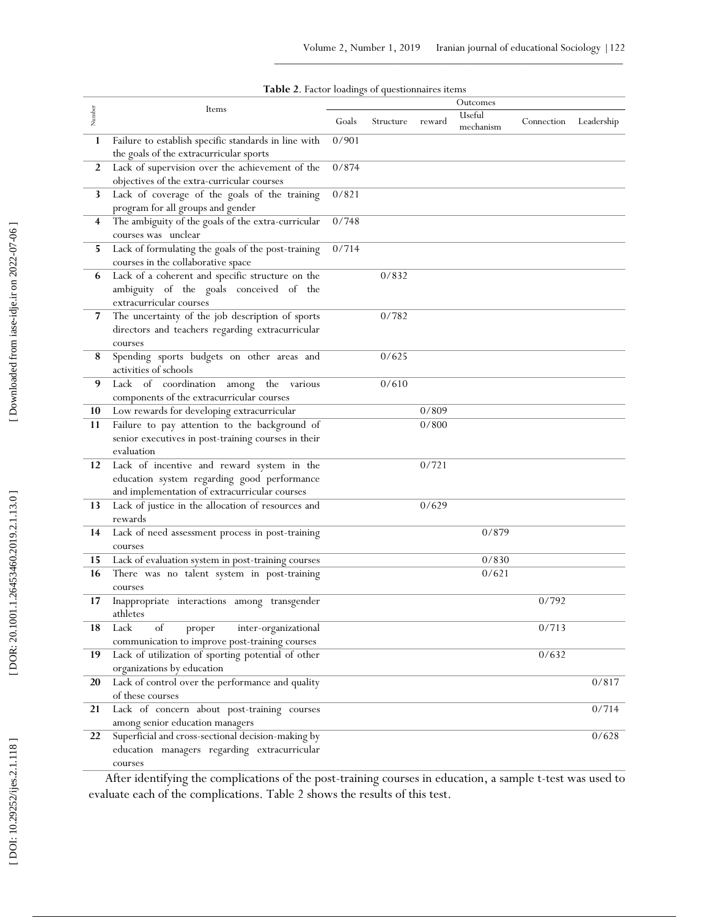| Table 2. Factor loadings of questionnaires items |  |  |  |  |  |  |
|--------------------------------------------------|--|--|--|--|--|--|
|--------------------------------------------------|--|--|--|--|--|--|

| Number         | Items                                                                                       |       |           |        | Outcomes<br>Useful |            |            |
|----------------|---------------------------------------------------------------------------------------------|-------|-----------|--------|--------------------|------------|------------|
|                |                                                                                             | Goals | Structure | reward | mechanism          | Connection | Leadership |
| 1              | Failure to establish specific standards in line with                                        | 0/901 |           |        |                    |            |            |
|                | the goals of the extracurricular sports                                                     |       |           |        |                    |            |            |
| $\overline{2}$ | Lack of supervision over the achievement of the                                             | 0/874 |           |        |                    |            |            |
| 3              | objectives of the extra-curricular courses<br>Lack of coverage of the goals of the training | 0/821 |           |        |                    |            |            |
|                | program for all groups and gender                                                           |       |           |        |                    |            |            |
| 4              | The ambiguity of the goals of the extra-curricular                                          | 0/748 |           |        |                    |            |            |
|                | courses was unclear                                                                         |       |           |        |                    |            |            |
| 5              | Lack of formulating the goals of the post-training                                          | 0/714 |           |        |                    |            |            |
|                | courses in the collaborative space                                                          |       |           |        |                    |            |            |
| 6              | Lack of a coherent and specific structure on the                                            |       | 0/832     |        |                    |            |            |
|                | ambiguity of the goals conceived of the                                                     |       |           |        |                    |            |            |
|                | extracurricular courses                                                                     |       |           |        |                    |            |            |
| 7              | The uncertainty of the job description of sports                                            |       | 0/782     |        |                    |            |            |
|                | directors and teachers regarding extracurricular                                            |       |           |        |                    |            |            |
|                | courses                                                                                     |       |           |        |                    |            |            |
| 8              | Spending sports budgets on other areas and                                                  |       | 0/625     |        |                    |            |            |
| 9              | activities of schools                                                                       |       | 0/610     |        |                    |            |            |
|                | Lack of coordination among<br>the<br>various<br>components of the extracurricular courses   |       |           |        |                    |            |            |
| 10             | Low rewards for developing extracurricular                                                  |       |           | 0/809  |                    |            |            |
| 11             | Failure to pay attention to the background of                                               |       |           | 0/800  |                    |            |            |
|                | senior executives in post-training courses in their                                         |       |           |        |                    |            |            |
|                | evaluation                                                                                  |       |           |        |                    |            |            |
| 12             | Lack of incentive and reward system in the                                                  |       |           | 0/721  |                    |            |            |
|                | education system regarding good performance                                                 |       |           |        |                    |            |            |
|                | and implementation of extracurricular courses                                               |       |           |        |                    |            |            |
| 13             | Lack of justice in the allocation of resources and                                          |       |           | 0/629  |                    |            |            |
|                | rewards                                                                                     |       |           |        |                    |            |            |
| 14             | Lack of need assessment process in post-training                                            |       |           |        | 0/879              |            |            |
|                | courses                                                                                     |       |           |        |                    |            |            |
| 15             | Lack of evaluation system in post-training courses                                          |       |           |        | 0/830              |            |            |
| 16             | There was no talent system in post-training                                                 |       |           |        | 0/621              |            |            |
|                | courses                                                                                     |       |           |        |                    |            |            |
| 17             | Inappropriate interactions among transgender<br>athletes                                    |       |           |        |                    | 0/792      |            |
| 18             | Lack<br>of<br>inter-organizational                                                          |       |           |        |                    | 0/713      |            |
|                | proper<br>communication to improve post-training courses                                    |       |           |        |                    |            |            |
| 19             | Lack of utilization of sporting potential of other                                          |       |           |        |                    | 0/632      |            |
|                | organizations by education                                                                  |       |           |        |                    |            |            |
| 20             | Lack of control over the performance and quality                                            |       |           |        |                    |            | 0/817      |
|                | of these courses                                                                            |       |           |        |                    |            |            |
| 21             | Lack of concern about post-training courses                                                 |       |           |        |                    |            | 0/714      |
|                | among senior education managers                                                             |       |           |        |                    |            |            |
| 22             | Superficial and cross-sectional decision-making by                                          |       |           |        |                    |            | 0/628      |
|                | education managers regarding extracurricular                                                |       |           |        |                    |            |            |
|                | courses                                                                                     |       |           |        |                    |            |            |

After identifying the complications of the post -training courses in education, a sample t -test was used to evaluate each of the complications. Table 2 shows the results of this test.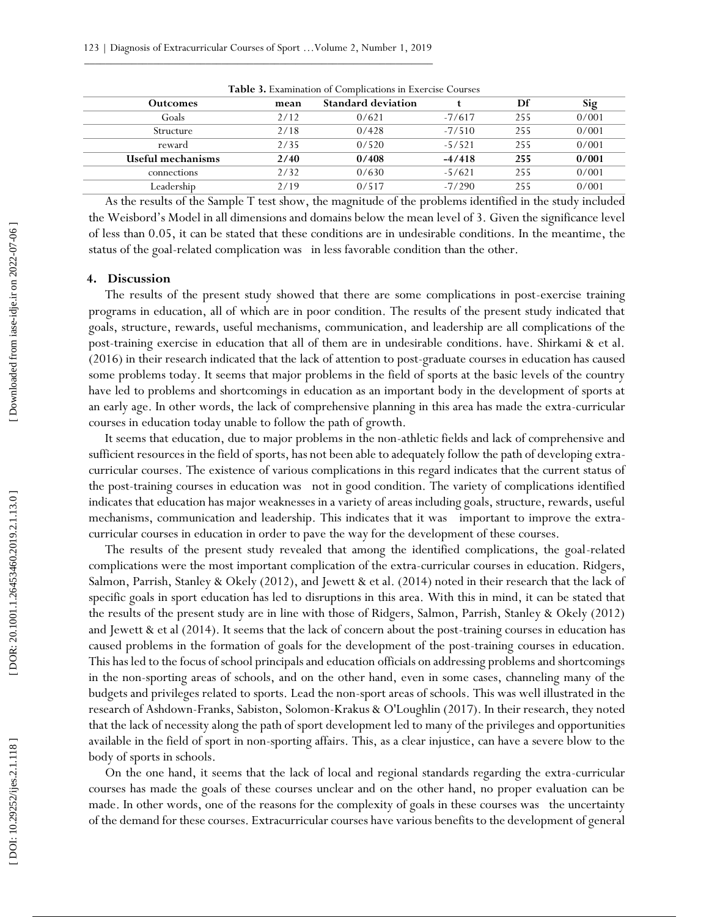| <b>Table 3.</b> Examination of Complications in Excluse Courses |      |                           |          |     |       |  |  |
|-----------------------------------------------------------------|------|---------------------------|----------|-----|-------|--|--|
| <b>Outcomes</b>                                                 | mean | <b>Standard deviation</b> |          | Df  | Sig   |  |  |
| Goals                                                           | 2/12 | 0/621                     | $-7/617$ | 255 | 0/001 |  |  |
| Structure                                                       | 2/18 | 0/428                     | $-7/510$ | 255 | 0/001 |  |  |
| reward                                                          | 2/35 | 0/520                     | $-5/521$ | 255 | 0/001 |  |  |
| Useful mechanisms                                               | 2/40 | 0/408                     | $-4/418$ | 255 | 0/001 |  |  |
| connections                                                     | 2/32 | 0/630                     | $-5/621$ | 255 | 0/001 |  |  |
| Leadership                                                      | 2/19 | 0/517                     | $-7/290$ | 255 | 0/001 |  |  |

**Table 3.** Examination of Complications in Exercise Courses

As the results of the Sample T test show, the magnitude of the problems identified in the study included the Weisbord's Model in all dimensions and domains below the mean level of 3. Given the significance level of less than 0.05, it can be stated that these conditions are in undesirable conditions. In the meantime, the status of the goal -related complication was in less favorable condition than the other.

## **4 . Discussion**

The results of the present study showed that there are some complications in post-exercise training programs in education, all of which are in poor condition. The results of the present study indicated that goals, structure, rewards, useful mechanisms, communication, and leadership are all complications of the post -training exercise in education that all of them are in undesirable conditions. have. Shirkami & et al. (2016) in their research indicated that the lack of attention to post -graduate courses in education has caused some problems today. It seems that major problems in the field of sports at the basic levels of the country have led to problems and shortcomings in education as an important body in the development of sports at an early age. In other words, the lack of comprehensive planning in this area has made the extra -curricular courses in education today unable to follow the path of growth.

It seems that education, due to major problems in the non -athletic fields and lack of comprehensive and sufficient resources in the field of sports, has not been able to adequately follow the path of developing extra curricular courses. The existence of various complications in this regard indicates that the current status of the post -training courses in education was not in good condition. The variety of complications identified indicates that education has major weaknesses in a variety of areas including goals, structure, rewards, useful mechanisms, communication and leadership. This indicates that it was important to improve the extra curricular courses in education in order to pave the way for the development of these courses.

The results of the present study revealed that among the identified complications, the goal-related complications were the most important complication of the extra -curricular courses in education. Ridgers, Salmon, Parrish, Stanley & Okely (2012), and Jewett & et al. (2014) noted in their research that the lack of specific goals in sport education has led to disruptions in this area. With this in mind, it can be stated that the results of the present study are in line with those of Ridgers, Salmon, Parrish, Stanley & Okely (2012) and Jewett & et al (2014). It seems that the lack of concern about the post -training courses in education has caused problems in the formation of goals for the development of the post -training courses in education. This has led to the focus of school principals and education officials on addressing problems and shortcomings in the non -sporting areas of schools, and on the other hand, even in some cases, channeling many of the budgets and privileges related to sports. Lead the non -sport areas of schools. This was well illustrated in the research of Ashdown -Franks, Sabiston, Solomon -Krakus & O'Loughlin (2017). In their research, they noted that the lack of necessity along the path of sport development led to many of the privileges and opportunities available in the field of sport in non -sporting affairs. This, as a clear injustice, can have a severe blow to the body of sports in schools.

On the one hand, it seems that the lack of local and regional standards regarding the extra -curricular courses has made the goals of these courses unclear and on the other hand, no proper evaluation can be made. In other words, one of the reasons for the complexity of goals in these courses was the uncertainty of the demand for these courses. Extracurricular courses have various benefits to the development of general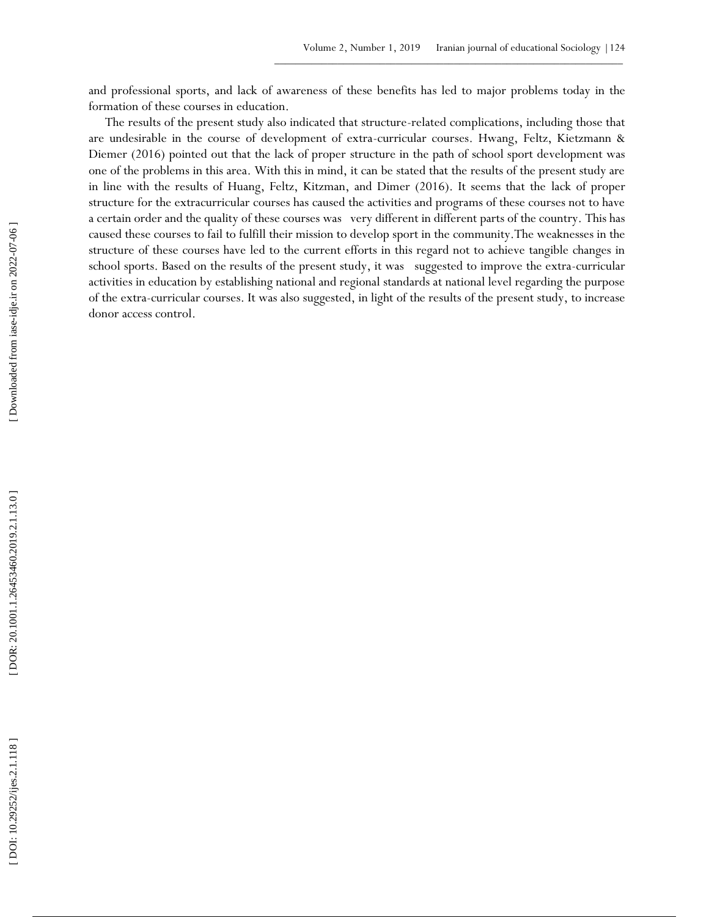and professional sports, and lack of awareness of these benefits has led to major problems today in the formation of these courses in education.

The results of the present study also indicated that structure -related complications, including those that are undesirable in the course of development of extra -curricular courses. Hwang, Feltz, Kietzmann & Diemer (2016) pointed out that the lack of proper structure in the path of school sport development was one of the problems in this area. With this in mind, it can be stated that the results of the present study are in line with the results of Huang, Feltz, Kitzman, and Dimer (2016). It seems that the lack of proper structure for the extracurricular courses has caused the activities and programs of these courses not to have a certain order and the quality of these courses was very different in different parts of the country. This has caused these courses to fail to fulfill their mission to develop sport in the community.The weaknesses in the structure of these courses have led to the current efforts in this regard not to achieve tangible changes in school sports. Based on the results of the present study, it was suggested to improve the extra -curricular activities in education by establishing national and regional standards at national level regarding the purpose of the extra -curricular courses. It was also suggested, in light of the results of the present study, to increase donor access control. [\[ DOI: 10.29252/ijes.2.1.118 \]](http://dx.doi.org/10.29252/ijes.2.1.118) [\[ DOR: 20.1001.1.26453460.2019.2.1.13.0](https://dorl.net/dor/20.1001.1.26453460.2019.2.1.13.0) ] [\[ Downloaded from iase-idje.ir on 2022-07](https://iase-idje.ir/article-1-543-en.html)-06 ]